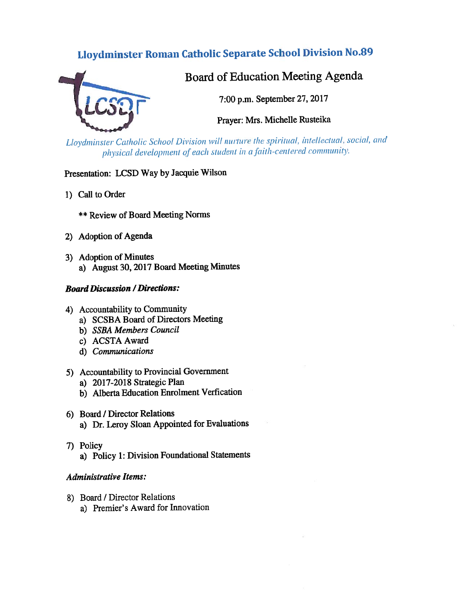# Lloydminster Roman Catholic Separate School Division No.89



# Board of Education Meeting Agenda

7:00 p.m. September 27, 2017

Prayer: Mrs. Michelle Rusteika

Lloydminster Catholic School Division will nurture the spiritual, intellectual, social, and physical development of each student in a faith-centered community.

# Presentation: LCSD Way by Jacquie Wilson

- 1) Call to Order
	- \*\* Review of Board Meeting Norms
- 2) Adoption of Agenda
- 3) Adoption of Minutes a) August 30, <sup>2017</sup> Board Meeting Minutes
- **Board Discussion / Directions:**
- 4) Accountability to Community
	- a) \$CSBA Board of Directors Meeting
	- b) SSBA Members Council
	- c) ACSTA Award
	- d) Communications
- 5) Accountability to Provincial Government
	- a) 2017-2018 Strategic Plan
	- b) Alberta Education Enrolment Verfication
- 6) Board / Director Relations a) Dr. Leroy Sloan Appointed for Evaluations
- 7) Policy
	- a) Policy 1: Division Foundational Statements

## Administrative Items:

- 8) Board / Director Relations
	- a) Premier's Award for Innovation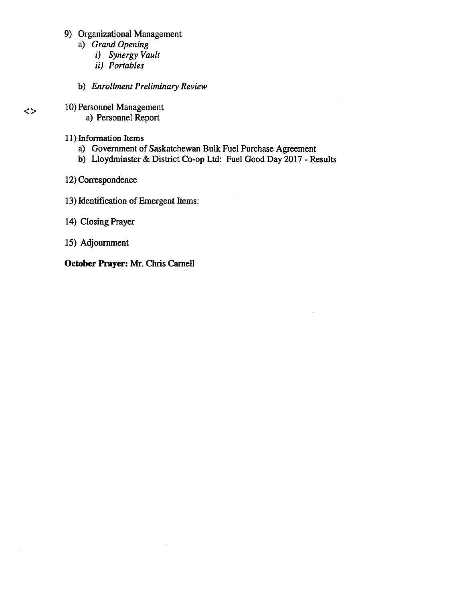- 9) Organizational Management
	- a) Grand Opening
		- i) Synergy Vault
		- ii) Portables
	- b) Enrollment Preliminary Review
- 10) Personnel Management
	- a) Personnel Report
- 11) Information Items

 $\lt$ 

- a) Government of Saskatchewan Bulk fuel Purchase Agreement
- b) Lloydminster & District Co-op Ltd: Fuel Good Day 2017 Results
- 12) Correspondence
- 13) Identification of Emergent Items:
- 14) Closing Prayer
- 15) Adjournment

October Prayer: Mr. Chris Camel!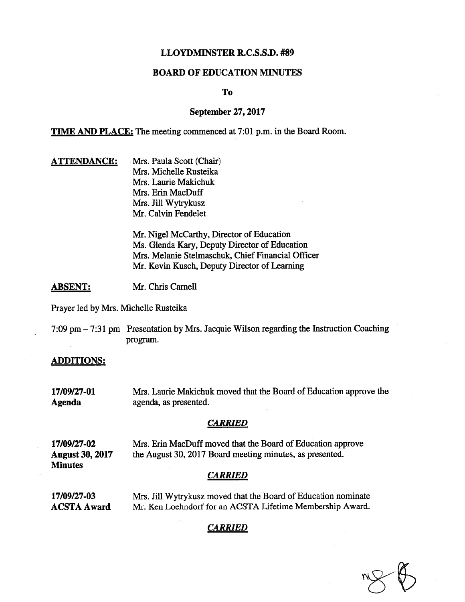#### LLOYDMINSTER R.C.S.S.D. #89

#### BOARD OF EDUCATION MINUTES

To

#### September 27, 2017

TIME AND PLACE: The meeting commenced at 7:01 p.m. in the Board Room.

**ATTENDANCE:** Mrs. Paula Scott (Chair) Mrs. Michelle Rusteika Mrs. Laurie Makichuk Mrs. Erin MacDuff Mrs. Jill Wytrykusz Mr. Calvin Fendelet

> Mr. Nigel McCarthy, Director of Education Ms. Glenda Kary, Deputy Director of Education Mrs. Melanie Stelmaschuk, Chief Financial Officer Mr. Kevin Kusch, Deputy Director of Learning

ABSENT: Mr. Chris Carnell

Prayer led by Mrs. Michelle Rusteika

7:09 pm — 7:31 pm Presentation by Mrs. Jacquie Wilson regarding the Instruction Coaching program.

#### ADDITIONS:

17/09/27-01 Mrs. Laurie Maltichuk moved that the Board of Education approve the Agenda agenda, as presented.

#### **CARRIED**

17/09/27-02 Mrs. Erin MacDuff moved that the Board of Education approve August 30, 2017 the August 30, 2017 Board meeting minutes, as presented. **Minutes** 

#### CARRIED

17/09/27-03 Mrs. Jill Wytrykusz moved that the Board of Education nominate ACSTA Award Mr. Ken Loehndorf for an ACSTA Lifetime Membership Award.

#### CARRIED